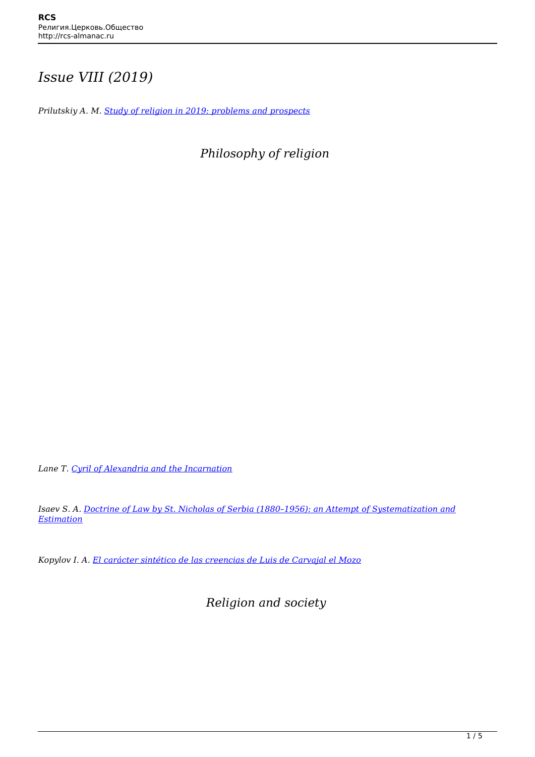## *Issue VIII (2019)*

*Prilutskiy A. M. [Study of religion in 2019: problems and prospects](http://rcs-almanac.ru/prilutskiy-intro-2019-en/)*

*Philosophy of religion*

*Lane T. [Cyril of Alexandria and the Incarnation](http://rcs-almanac.ru/lein-2019-en/)*

*Isaev S. A. [Doctrine of Law by St. Nicholas of Serbia \(1880–1956\): an Attempt of Systematization and](http://rcs-almanac.ru/isaev-2019-en/) [Estimation](http://rcs-almanac.ru/isaev-2019-en/)*

*Kopylov I. A. [El carácter sintético de las creencias de Luis de Carvajal el Mozo](http://rcs-almanac.ru/kopulov-2019-en/)*

 *Religion and society*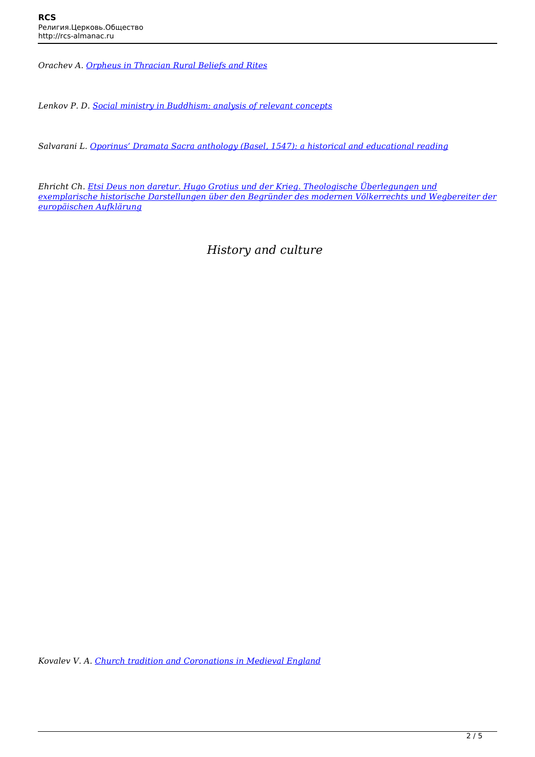*Orachev A. [Orpheus in Thracian Rural Beliefs and Rites](http://rcs-almanac.ru/orachev-2019-en/)*

*Lenkov P. D. [Social ministry in Buddhism: analysis of relevant concepts](http://rcs-almanac.ru/lenkov-2019-en/)*

*Salvarani L. [Oporinus' Dramata Sacra anthology \(Basel, 1547\): a historical and educational reading](http://rcs-almanac.ru/salvarani-2019-en/)*

*Ehricht Ch. [Etsi Deus non daretur. Hugo Grotius und der Krieg. Theologische Überlegungen und](http://rcs-almanac.ru/ericht-2019-en/) [exemplarische historische Darstellungen über den Begründer des modernen Völkerrechts und Wegbereiter der](http://rcs-almanac.ru/ericht-2019-en/) [europäischen Aufklärung](http://rcs-almanac.ru/ericht-2019-en/)*

*History and culture*

*Kovalev V. A. [Church tradition and Coronations in Medieval England](http://rcs-almanac.ru/kovalev-2019-en/)*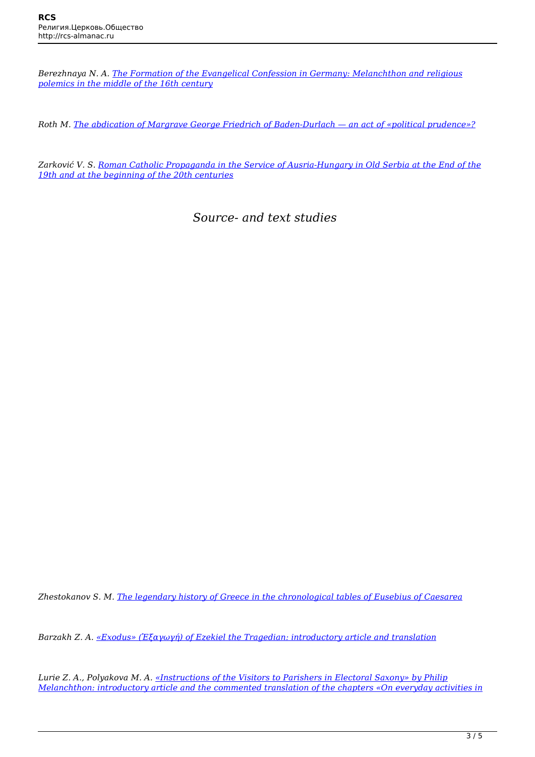*Berezhnaya N. A. [The Formation of the Evangelical Confession in Germany: Melanchthon and religious](http://rcs-almanac.ru/berejhnaya-2019-en/) [polemics in the middle of the 16th century](http://rcs-almanac.ru/berejhnaya-2019-en/)*

*Roth M. [The abdication of Margrave George Friedrich of Baden-Durlach — an act of «political prudence»?](http://rcs-almanac.ru/roth-2019-en/)*

*Zarković V. S. [Roman Catholic Propaganda in the Service of Ausria-Hungary in Old Serbia at the End of the](http://rcs-almanac.ru/zarkovich-2019-en/) [19th and at the beginning of the 20th centuries](http://rcs-almanac.ru/zarkovich-2019-en/)*

*Source- and text studies*

*Zhestokanov S. M. [The legendary history of Greece in the chronological tables of Eusebius of Caesarea](http://rcs-almanac.ru/zhestokanov-2019-en/)*

*Barzakh Z. A. [«Exodus» \(Ἐξαγωγή\) of Ezekiel the Tragedian: introductory article and translation](http://rcs-almanac.ru/barzakh-2019-en/)*

*Lurie Z. A., Polyakova M. A. [«Instructions of the Visitors to Parishers in Electoral Saxony» by Philip](http://rcs-almanac.ru/lurie-polyakova-2010-en/) [Melanchthon: introductory article and the commented translation of the chapters «On everyday activities in](http://rcs-almanac.ru/lurie-polyakova-2010-en/)*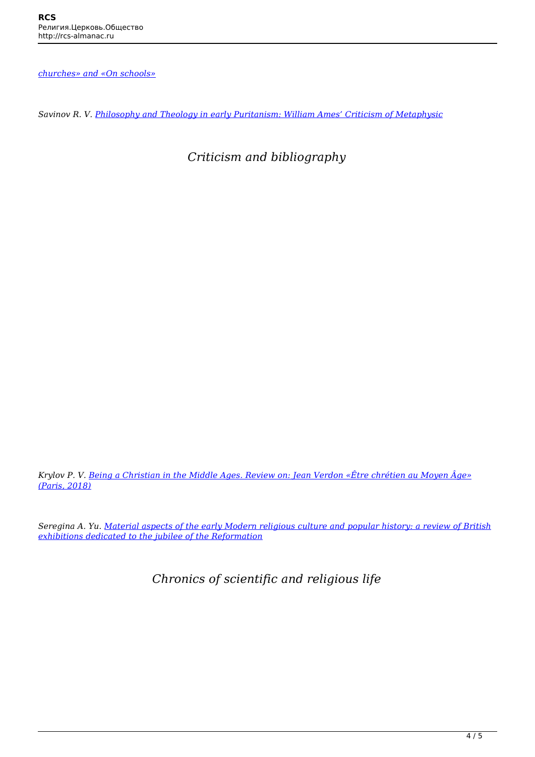*[churches» and «On schools»](http://rcs-almanac.ru/lurie-polyakova-2010-en/)*

*Savinov R. V. [Philosophy and Theology in early Puritanism: William Ames' Criticism of Metaphysic](http://rcs-almanac.ru/savinov-2019-en/)*

 *Criticism and bibliography*

*Krylov P. V. [Being a Christian in the Middle Ages. Review on: Jean Verdon «Être chrétien au Moyen Âge»](http://rcs-almanac.ru/krylov-2019-en/) [\(Paris, 2018\)](http://rcs-almanac.ru/krylov-2019-en/)*

*Seregina A. Yu. [Material aspects of the early Modern religious culture and popular history: a review of British](http://rcs-almanac.ru/seregina-2019-en/) [exhibitions dedicated to the jubilee of the Reformation](http://rcs-almanac.ru/seregina-2019-en/)*

 *Chronics of scientific and religious life*